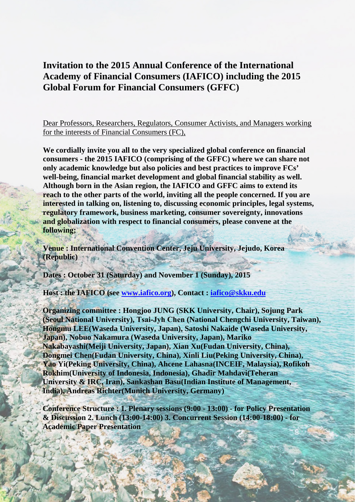## **Invitation to the 2015 Annual Conference of the International Academy of Financial Consumers (IAFICO) including the 2015 Global Forum for Financial Consumers (GFFC)**

Dear Professors, Researchers, Regulators, Consumer Activists, and Managers working for the interests of Financial Consumers (FC),

**We cordially invite you all to the very specialized global conference on financial consumers - the 2015 IAFICO (comprising of the GFFC) where we can share not only academic knowledge but also policies and best practices to improve FCs' well-being, financial market development and global financial stability as well. Although born in the Asian region, the IAFICO and GFFC aims to extend its reach to the other parts of the world, inviting all the people concerned. If you are interested in talking on, listening to, discussing economic principles, legal systems, regulatory framework, business marketing, consumer sovereignty, innovations and globalization with respect to financial consumers, please convene at the following;**

**Venue : International Convention Center, Jeju University, Jejudo, Korea (Republic)**

**Dates : October 31 (Saturday) and November 1 (Sunday), 2015**

**Host : the IAFICO (see www.iafico.org), Contact : iafico@skku.edu**

**Organizing committee : Hongjoo JUNG (SKK University, Chair), Sojung Park (Seoul National University), Tsai-Jyh Chen (National Chengchi University, Taiwan), Hongmu LEE(Waseda University, Japan), Satoshi Nakaide (Waseda University, Japan), Nobuo Nakamura (Waseda University, Japan), Mariko Nakabayashi(Meiji University, Japan), Xian Xu(Fudan University, China), Dongmei Chen(Fudan University, China), Xinli Liu(Peking University, China), Yao Yi(Peking University, China), Ahcene Lahasna(INCEIF, Malaysia), Rofikoh Rokhim(University of Indonesia, Indonesia), Ghadir Mahdavi(Teheran University & IRC, Iran), Sankashan Basu(Indian Institute of Management, India), Andreas Richter(Munich University, Germany)**

**Conference Structure : 1. Plenary sessions (9:00 - 13:00) - for Policy Presentation & Discussion 2. Lunch (13:00-14:00) 3. Concurrent Session (14:00-18:00) - for Academic Paper Presentation**